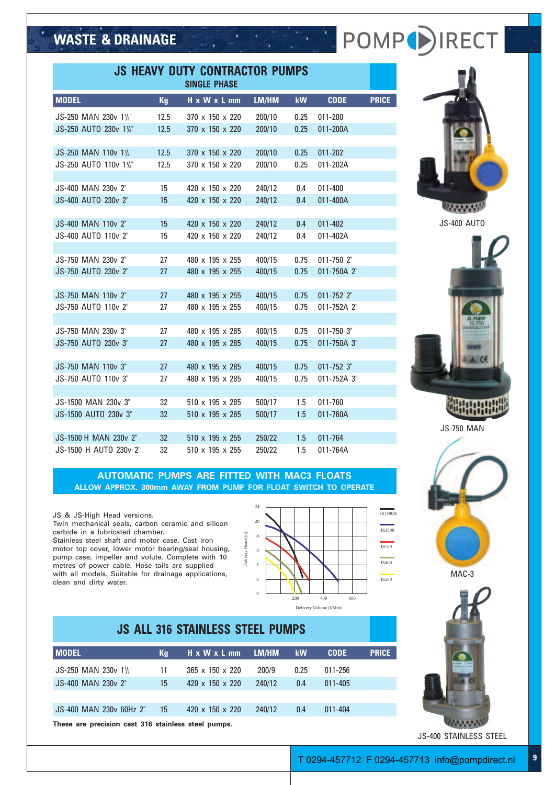# WASTE & DRAINAGE And the state of the POMP<sup>()</sup> IRECT

| <b>JS HEAVY DUTY CONTRACTOR PUMPS</b><br><b>SINGLE PHASE</b> |           |                 |                  |      |             |              |  |
|--------------------------------------------------------------|-----------|-----------------|------------------|------|-------------|--------------|--|
| <b>MODEL</b>                                                 | <b>Kg</b> | H x W x L mm    | LM/HM            | kW   | <b>CODE</b> | <b>PRICE</b> |  |
| JS-250 MAN 230v 11/2"                                        | 12.5      | 370 x 150 x 220 | 200/10           | 0.25 | 011-200     |              |  |
| JS-250 AUTO 230v 11/2"                                       | 12.5      | 370 x 150 x 220 | 200/10           | 0.25 | 011-200A    |              |  |
|                                                              |           |                 |                  |      |             |              |  |
| JS-250 MAN 110v 11/2"                                        | 12.5      | 370 x 150 x 220 | 200/10           | 0.25 | 011-202     |              |  |
| JS-250 AUTO 110v 11/2"                                       | 12.5      | 370 x 150 x 220 | 200/10           | 0.25 | 011-202A    |              |  |
|                                                              |           |                 |                  |      |             |              |  |
| JS-400 MAN 230v 2"                                           | 15        | 420 x 150 x 220 | 240/12           | 0.4  | $011 - 400$ |              |  |
| JS-400 AUTO 230v 2"                                          | 15        | 420 x 150 x 220 | 240/12           | 0.4  | 011-400A    |              |  |
|                                                              |           |                 |                  |      |             |              |  |
| JS-400 MAN 110v 2"                                           | 15        | 420 x 150 x 220 | 240/12           | 0.4  | 011-402     |              |  |
| JS-400 AUTO 110v 2"                                          | 15        | 420 x 150 x 220 | 240/12           | 0.4  | 011-402A    |              |  |
| JS-750 MAN 230v 2"                                           | 27        | 480 x 195 x 255 |                  | 0.75 | 011-750 2"  |              |  |
| JS-750 AUTO 230v 2"                                          | 27        | 480 x 195 x 255 | 400/15<br>400/15 | 0.75 | 011-750A 2" |              |  |
|                                                              |           |                 |                  |      |             |              |  |
| JS-750 MAN 110v 2"                                           | 27        | 480 x 195 x 255 | 400/15           | 0.75 | 011-752 2"  |              |  |
| JS-750 AUTO 110v 2"                                          | 27        | 480 x 195 x 255 | 400/15           | 0.75 | 011-752A 2" |              |  |
|                                                              |           |                 |                  |      |             |              |  |
| JS-750 MAN 230v 3"                                           | 27        | 480 x 195 x 285 | 400/15           | 0.75 | 011-750 3"  |              |  |
| JS-750 AUTO 230v 3"                                          | 27        | 480 x 195 x 285 | 400/15           | 0.75 | 011-750A 3" |              |  |
|                                                              |           |                 |                  |      |             |              |  |
| JS-750 MAN 110v 3"                                           | 27        | 480 x 195 x 285 | 400/15           | 0.75 | 011-752 3"  |              |  |
| JS-750 AUTO 110v 3"                                          | 27        | 480 x 195 x 285 | 400/15           | 0.75 | 011-752A 3" |              |  |
|                                                              |           |                 |                  |      |             |              |  |
| JS-1500 MAN 230v 3"                                          | 32        | 510 x 195 x 285 | 500/17           | 1.5  | 011-760     |              |  |
| JS-1500 AUTO 230v 3"                                         | 32        | 510 x 195 x 285 | 500/17           | 1.5  | 011-760A    |              |  |
|                                                              |           |                 |                  |      |             |              |  |
| JS-1500 H MAN 230v 2"                                        | 32        | 510 x 195 x 255 | 250/22           | 1.5  | 011-764     |              |  |
| JS-1500 H AUTO 230v 2"                                       | 32        | 510 x 195 x 255 | 250/22           | 1.5  | 011-764A    |              |  |

**AUTOMATIC PUMPS ARE FITTED WITH MAC3 FLOATS ALLOW APPROX. 300mm AWAY FROM PUMP FOR FLOAT SWITCH TO OPERATE**

#### JS & JS-High Head versions.

Twin mechanical seals, carbon ceramic and silicon carbide in a lubricated chamber. Stainless steel shaft and motor case. Cast iron motor top cover, lower motor bearing/seal housing, pump case, impeller and volute. Complete with 10 metres of power cable. Hose tails are supplied with all models. Suitable for drainage applications, clean and dirty water.



## **JS ALL 316 STAINLESS STEEL PUMPS MODEL Kg** H x W x L mm LM/HM kW CODE PRICE JS-250 MAN 230v 11 /2" 11 365 x 150 x 220 200/9 0.25 011-256 JS-400 MAN 230v 2" 15 420 x 150 x 220 240/12 0.4 011-405 JS-400 MAN 230v 60Hz 2" 15 420 x 150 x 220 240/12 0.4 011-404

**These are precision cast 316 stainless steel pumps.**



JS-400 AUTO



JS-750 MAN





JS-400 STAINLESS STEEL